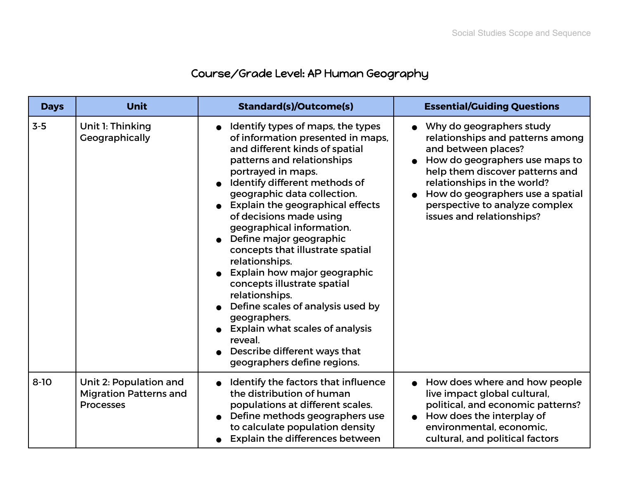## Course/Grade Level: AP Human Geography

| <b>Days</b> | <b>Unit</b>                                                                 | <b>Standard(s)/Outcome(s)</b>                                                                                                                                                                                                                                                                                                                                                                                                                                                                                                                                                                                                                                       | <b>Essential/Guiding Questions</b>                                                                                                                                                                                                                                                         |
|-------------|-----------------------------------------------------------------------------|---------------------------------------------------------------------------------------------------------------------------------------------------------------------------------------------------------------------------------------------------------------------------------------------------------------------------------------------------------------------------------------------------------------------------------------------------------------------------------------------------------------------------------------------------------------------------------------------------------------------------------------------------------------------|--------------------------------------------------------------------------------------------------------------------------------------------------------------------------------------------------------------------------------------------------------------------------------------------|
| $3-5$       | Unit 1: Thinking<br>Geographically                                          | Identify types of maps, the types<br>of information presented in maps,<br>and different kinds of spatial<br>patterns and relationships<br>portrayed in maps.<br>Identify different methods of<br>geographic data collection.<br>Explain the geographical effects<br>of decisions made using<br>geographical information.<br>Define major geographic<br>concepts that illustrate spatial<br>relationships.<br>Explain how major geographic<br>concepts illustrate spatial<br>relationships.<br>Define scales of analysis used by<br>geographers.<br><b>Explain what scales of analysis</b><br>reveal.<br>Describe different ways that<br>geographers define regions. | Why do geographers study<br>relationships and patterns among<br>and between places?<br>How do geographers use maps to<br>help them discover patterns and<br>relationships in the world?<br>How do geographers use a spatial<br>perspective to analyze complex<br>issues and relationships? |
| $8 - 10$    | Unit 2: Population and<br><b>Migration Patterns and</b><br><b>Processes</b> | Identify the factors that influence<br>the distribution of human<br>populations at different scales.<br>Define methods geographers use<br>to calculate population density<br><b>Explain the differences between</b>                                                                                                                                                                                                                                                                                                                                                                                                                                                 | How does where and how people<br>live impact global cultural,<br>political, and economic patterns?<br>How does the interplay of<br>environmental, economic,<br>cultural, and political factors                                                                                             |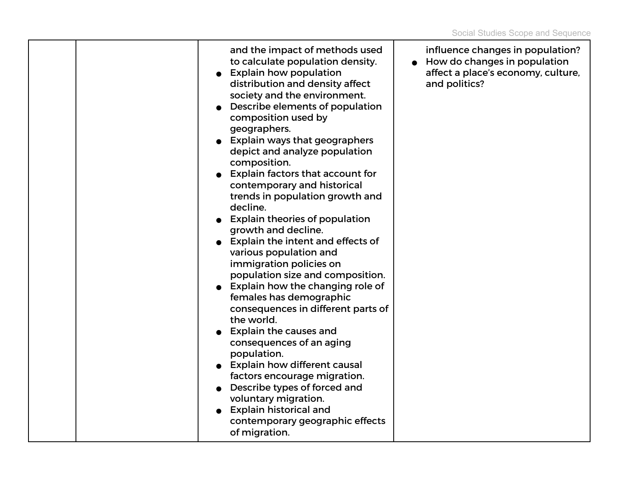|  | and the impact of methods used<br>to calculate population density.<br><b>Explain how population</b><br>distribution and density affect<br>society and the environment.<br>Describe elements of population<br>composition used by<br>geographers.<br>• Explain ways that geographers<br>depict and analyze population<br>composition.<br><b>Explain factors that account for</b><br>contemporary and historical<br>trends in population growth and<br>decline.<br><b>Explain theories of population</b><br>growth and decline.<br>• Explain the intent and effects of<br>various population and<br>immigration policies on<br>population size and composition.<br>Explain how the changing role of<br>females has demographic<br>consequences in different parts of<br>the world.<br><b>Explain the causes and</b><br>consequences of an aging<br>population.<br><b>Explain how different causal</b><br>factors encourage migration.<br>Describe types of forced and<br>voluntary migration.<br><b>Explain historical and</b><br>contemporary geographic effects | influence changes in population?<br>How do changes in population<br>affect a place's economy, culture,<br>and politics? |
|--|-----------------------------------------------------------------------------------------------------------------------------------------------------------------------------------------------------------------------------------------------------------------------------------------------------------------------------------------------------------------------------------------------------------------------------------------------------------------------------------------------------------------------------------------------------------------------------------------------------------------------------------------------------------------------------------------------------------------------------------------------------------------------------------------------------------------------------------------------------------------------------------------------------------------------------------------------------------------------------------------------------------------------------------------------------------------|-------------------------------------------------------------------------------------------------------------------------|
|  | of migration.                                                                                                                                                                                                                                                                                                                                                                                                                                                                                                                                                                                                                                                                                                                                                                                                                                                                                                                                                                                                                                                   |                                                                                                                         |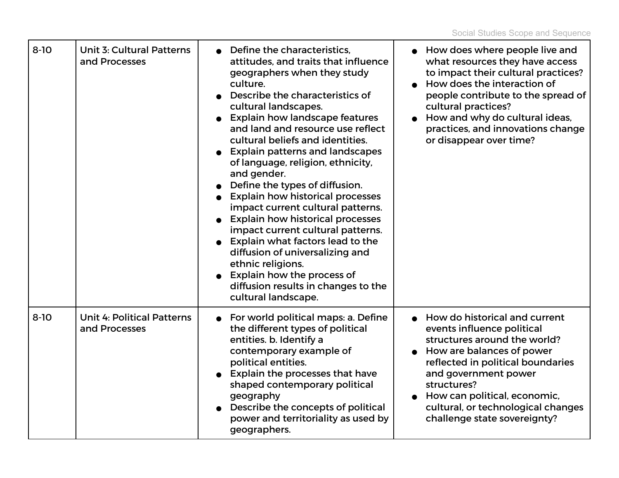| $8 - 10$ | <b>Unit 3: Cultural Patterns</b><br>and Processes  | Define the characteristics,<br>attitudes, and traits that influence<br>geographers when they study<br>culture.<br>Describe the characteristics of<br>cultural landscapes.<br><b>Explain how landscape features</b><br>and land and resource use reflect<br>cultural beliefs and identities.<br><b>Explain patterns and landscapes</b><br>of language, religion, ethnicity,<br>and gender.<br>Define the types of diffusion.<br><b>Explain how historical processes</b><br>impact current cultural patterns.<br><b>Explain how historical processes</b><br>impact current cultural patterns.<br>Explain what factors lead to the<br>diffusion of universalizing and<br>ethnic religions.<br>Explain how the process of<br>diffusion results in changes to the<br>cultural landscape. | • How does where people live and<br>what resources they have access<br>to impact their cultural practices?<br>How does the interaction of<br>people contribute to the spread of<br>cultural practices?<br>How and why do cultural ideas,<br>practices, and innovations change<br>or disappear over time?   |
|----------|----------------------------------------------------|-------------------------------------------------------------------------------------------------------------------------------------------------------------------------------------------------------------------------------------------------------------------------------------------------------------------------------------------------------------------------------------------------------------------------------------------------------------------------------------------------------------------------------------------------------------------------------------------------------------------------------------------------------------------------------------------------------------------------------------------------------------------------------------|------------------------------------------------------------------------------------------------------------------------------------------------------------------------------------------------------------------------------------------------------------------------------------------------------------|
| $8 - 10$ | <b>Unit 4: Political Patterns</b><br>and Processes | For world political maps: a. Define<br>the different types of political<br>entities. b. Identify a<br>contemporary example of<br>political entities.<br>Explain the processes that have<br>shaped contemporary political<br>geography<br>Describe the concepts of political<br>power and territoriality as used by<br>geographers.                                                                                                                                                                                                                                                                                                                                                                                                                                                  | How do historical and current<br>events influence political<br>structures around the world?<br>How are balances of power<br>reflected in political boundaries<br>and government power<br>structures?<br>How can political, economic,<br>cultural, or technological changes<br>challenge state sovereignty? |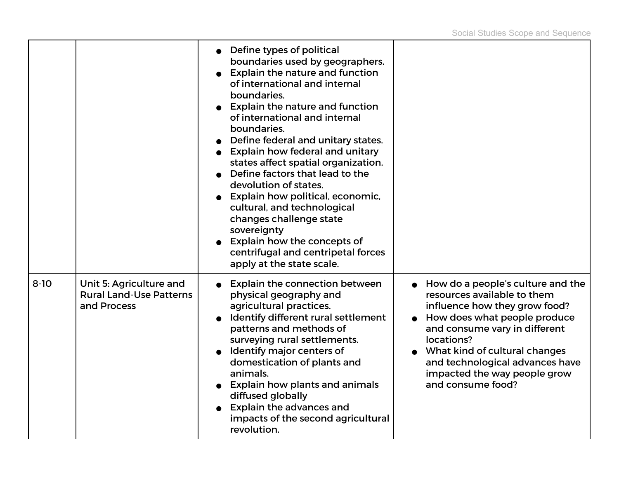|          |                                                                          | • Define types of political<br>boundaries used by geographers.<br><b>Explain the nature and function</b><br>of international and internal<br>boundaries.<br><b>Explain the nature and function</b><br>of international and internal<br>boundaries.<br>Define federal and unitary states.<br>• Explain how federal and unitary<br>states affect spatial organization.<br>Define factors that lead to the<br>devolution of states.<br>Explain how political, economic,<br>cultural, and technological<br>changes challenge state<br>sovereignty<br>Explain how the concepts of<br>centrifugal and centripetal forces<br>apply at the state scale. |                                                                                                                                                                                                                                                                                                           |
|----------|--------------------------------------------------------------------------|-------------------------------------------------------------------------------------------------------------------------------------------------------------------------------------------------------------------------------------------------------------------------------------------------------------------------------------------------------------------------------------------------------------------------------------------------------------------------------------------------------------------------------------------------------------------------------------------------------------------------------------------------|-----------------------------------------------------------------------------------------------------------------------------------------------------------------------------------------------------------------------------------------------------------------------------------------------------------|
| $8 - 10$ | Unit 5: Agriculture and<br><b>Rural Land-Use Patterns</b><br>and Process | <b>Explain the connection between</b><br>physical geography and<br>agricultural practices.<br>Identify different rural settlement<br>patterns and methods of<br>surveying rural settlements.<br>Identify major centers of<br>domestication of plants and<br>animals.<br><b>Explain how plants and animals</b><br>diffused globally<br><b>Explain the advances and</b><br>impacts of the second agricultural<br>revolution.                                                                                                                                                                                                                      | How do a people's culture and the<br>resources available to them<br>influence how they grow food?<br>How does what people produce<br>and consume vary in different<br>locations?<br>What kind of cultural changes<br>and technological advances have<br>impacted the way people grow<br>and consume food? |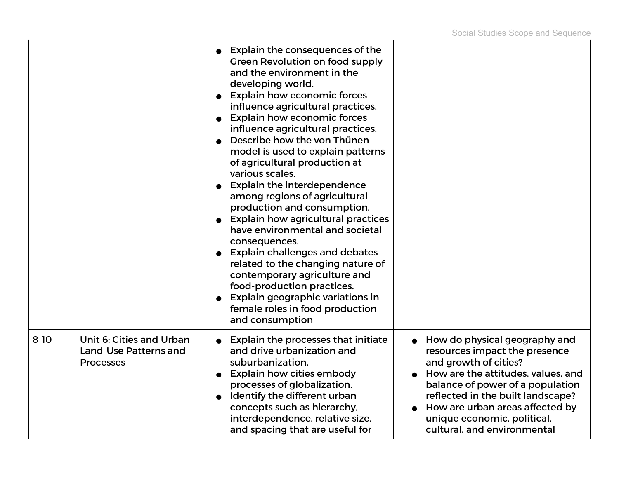|          |                                                                       | Explain the consequences of the<br>Green Revolution on food supply<br>and the environment in the<br>developing world.<br><b>Explain how economic forces</b><br>influence agricultural practices.<br><b>Explain how economic forces</b><br>influence agricultural practices.<br>Describe how the von Thünen<br>model is used to explain patterns<br>of agricultural production at<br>various scales.<br><b>Explain the interdependence</b><br>among regions of agricultural<br>production and consumption.<br><b>Explain how agricultural practices</b><br>have environmental and societal<br>consequences.<br><b>Explain challenges and debates</b><br>related to the changing nature of<br>contemporary agriculture and<br>food-production practices.<br>Explain geographic variations in<br>female roles in food production<br>and consumption |                                                                                                                                                                                                                                                                                                         |
|----------|-----------------------------------------------------------------------|--------------------------------------------------------------------------------------------------------------------------------------------------------------------------------------------------------------------------------------------------------------------------------------------------------------------------------------------------------------------------------------------------------------------------------------------------------------------------------------------------------------------------------------------------------------------------------------------------------------------------------------------------------------------------------------------------------------------------------------------------------------------------------------------------------------------------------------------------|---------------------------------------------------------------------------------------------------------------------------------------------------------------------------------------------------------------------------------------------------------------------------------------------------------|
| $8 - 10$ | Unit 6: Cities and Urban<br>Land-Use Patterns and<br><b>Processes</b> | Explain the processes that initiate<br>and drive urbanization and<br>suburbanization.<br><b>Explain how cities embody</b><br>processes of globalization.<br>Identify the different urban<br>concepts such as hierarchy,<br>interdependence, relative size,<br>and spacing that are useful for                                                                                                                                                                                                                                                                                                                                                                                                                                                                                                                                                    | How do physical geography and<br>resources impact the presence<br>and growth of cities?<br>How are the attitudes, values, and<br>balance of power of a population<br>reflected in the built landscape?<br>How are urban areas affected by<br>unique economic, political,<br>cultural, and environmental |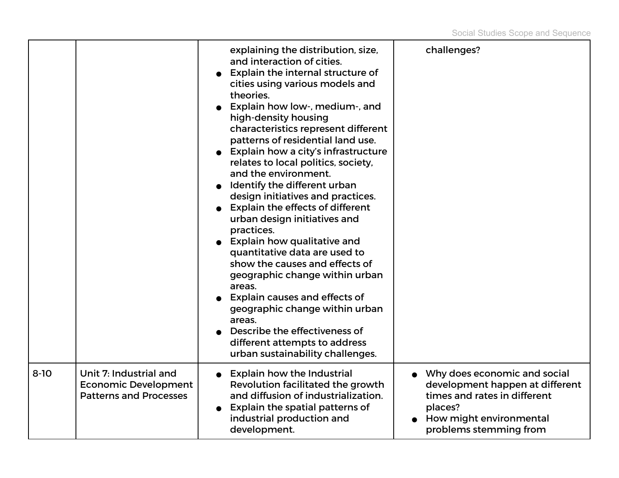|        |                                                                                        | explaining the distribution, size,<br>and interaction of cities.<br><b>Explain the internal structure of</b><br>cities using various models and<br>theories.<br>Explain how low-, medium-, and<br>high-density housing<br>characteristics represent different<br>patterns of residential land use.<br>Explain how a city's infrastructure<br>relates to local politics, society,<br>and the environment.<br>Identify the different urban<br>design initiatives and practices.<br>Explain the effects of different<br>urban design initiatives and<br>practices.<br>• Explain how qualitative and<br>quantitative data are used to<br>show the causes and effects of<br>geographic change within urban<br>areas.<br>Explain causes and effects of<br>geographic change within urban<br>areas.<br>Describe the effectiveness of<br>different attempts to address<br>urban sustainability challenges. | challenges?                                                                                                                                                       |
|--------|----------------------------------------------------------------------------------------|----------------------------------------------------------------------------------------------------------------------------------------------------------------------------------------------------------------------------------------------------------------------------------------------------------------------------------------------------------------------------------------------------------------------------------------------------------------------------------------------------------------------------------------------------------------------------------------------------------------------------------------------------------------------------------------------------------------------------------------------------------------------------------------------------------------------------------------------------------------------------------------------------|-------------------------------------------------------------------------------------------------------------------------------------------------------------------|
| $8-10$ | Unit 7: Industrial and<br><b>Economic Development</b><br><b>Patterns and Processes</b> | <b>Explain how the Industrial</b><br>Revolution facilitated the growth<br>and diffusion of industrialization.<br><b>Explain the spatial patterns of</b><br>industrial production and<br>development.                                                                                                                                                                                                                                                                                                                                                                                                                                                                                                                                                                                                                                                                                               | • Why does economic and social<br>development happen at different<br>times and rates in different<br>places?<br>How might environmental<br>problems stemming from |